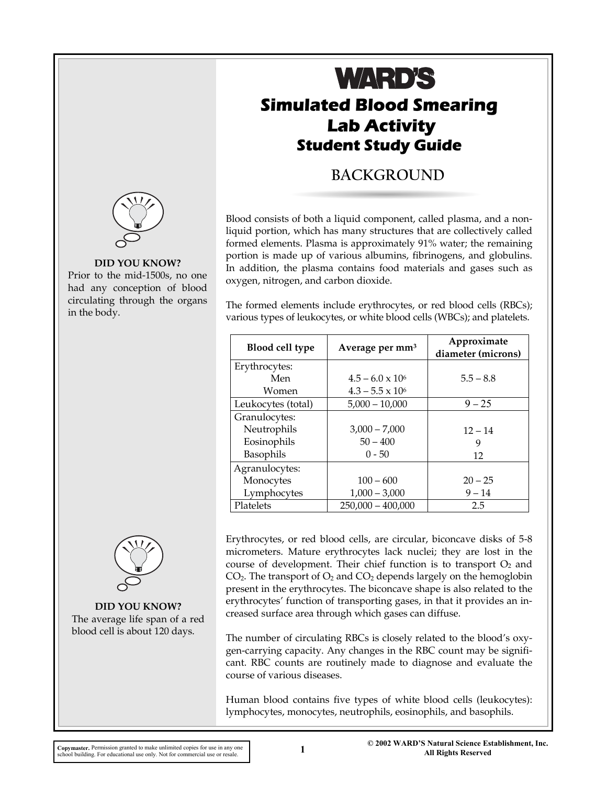

#### **DID YOU KNOW?**

Prior to the mid-1500s, no one had any conception of blood circulating through the organs in the body.



**DID YOU KNOW?**  The average life span of a red blood cell is about 120 days.

# **Simulated Blood Smearing Lab Activity Student Study Guide WARD'S**

# **BACKGROUND**

Blood consists of both a liquid component, called plasma, and a nonliquid portion, which has many structures that are collectively called formed elements. Plasma is approximately 91% water; the remaining portion is made up of various albumins, fibrinogens, and globulins. In addition, the plasma contains food materials and gases such as oxygen, nitrogen, and carbon dioxide.

The formed elements include erythrocytes, or red blood cells (RBCs); various types of leukocytes, or white blood cells (WBCs); and platelets.

| <b>Blood cell type</b> | Average per mm <sup>3</sup> | Approximate<br>diameter (microns) |  |  |
|------------------------|-----------------------------|-----------------------------------|--|--|
| Erythrocytes:          |                             |                                   |  |  |
| Men                    | $4.5 - 6.0 \times 10^6$     | $5.5 - 8.8$                       |  |  |
| Women                  | $4.3 - 5.5 \times 10^6$     |                                   |  |  |
| Leukocytes (total)     | $5,000 - 10,000$            | $9 - 25$                          |  |  |
| Granulocytes:          |                             |                                   |  |  |
| Neutrophils            | $3,000 - 7,000$             | $12 - 14$                         |  |  |
| Eosinophils            | $50 - 400$                  | 9                                 |  |  |
| Basophils              | $0 - 50$                    | 12                                |  |  |
| Agranulocytes:         |                             |                                   |  |  |
| Monocytes              | $100 - 600$                 | $20 - 25$                         |  |  |
| Lymphocytes            | $1,000 - 3,000$             | $9 - 14$                          |  |  |
| Platelets              | $250,000 - 400,000$         | 2.5                               |  |  |

Erythrocytes, or red blood cells, are circular, biconcave disks of 5-8 micrometers. Mature erythrocytes lack nuclei; they are lost in the course of development. Their chief function is to transport  $O_2$  and  $CO<sub>2</sub>$ . The transport of  $O<sub>2</sub>$  and  $CO<sub>2</sub>$  depends largely on the hemoglobin present in the erythrocytes. The biconcave shape is also related to the erythrocytes' function of transporting gases, in that it provides an increased surface area through which gases can diffuse.

The number of circulating RBCs is closely related to the blood's oxygen-carrying capacity. Any changes in the RBC count may be significant. RBC counts are routinely made to diagnose and evaluate the course of various diseases.

Human blood contains five types of white blood cells (leukocytes): lymphocytes, monocytes, neutrophils, eosinophils, and basophils.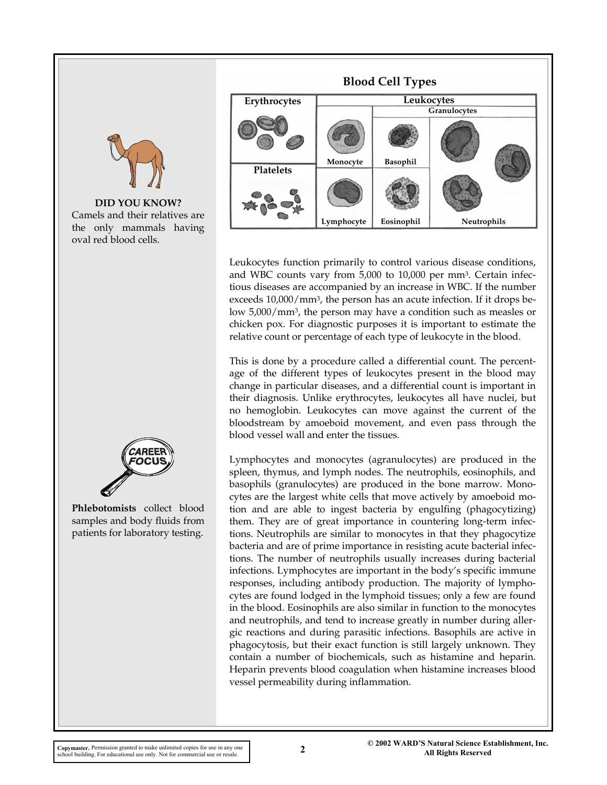

**DID YOU KNOW?**  Camels and their relatives are the only mammals having oval red blood cells.



**Phlebotomists** collect blood samples and body fluids from patients for laboratory testing.



Leukocytes function primarily to control various disease conditions, and WBC counts vary from 5,000 to 10,000 per mm3. Certain infectious diseases are accompanied by an increase in WBC. If the number exceeds 10,000/mm3, the person has an acute infection. If it drops below 5,000/mm3, the person may have a condition such as measles or chicken pox. For diagnostic purposes it is important to estimate the relative count or percentage of each type of leukocyte in the blood.

This is done by a procedure called a differential count. The percentage of the different types of leukocytes present in the blood may change in particular diseases, and a differential count is important in their diagnosis. Unlike erythrocytes, leukocytes all have nuclei, but no hemoglobin. Leukocytes can move against the current of the bloodstream by amoeboid movement, and even pass through the blood vessel wall and enter the tissues.

Lymphocytes and monocytes (agranulocytes) are produced in the spleen, thymus, and lymph nodes. The neutrophils, eosinophils, and basophils (granulocytes) are produced in the bone marrow. Monocytes are the largest white cells that move actively by amoeboid motion and are able to ingest bacteria by engulfing (phagocytizing) them. They are of great importance in countering long-term infections. Neutrophils are similar to monocytes in that they phagocytize bacteria and are of prime importance in resisting acute bacterial infections. The number of neutrophils usually increases during bacterial infections. Lymphocytes are important in the body's specific immune responses, including antibody production. The majority of lymphocytes are found lodged in the lymphoid tissues; only a few are found in the blood. Eosinophils are also similar in function to the monocytes and neutrophils, and tend to increase greatly in number during allergic reactions and during parasitic infections. Basophils are active in phagocytosis, but their exact function is still largely unknown. They contain a number of biochemicals, such as histamine and heparin. Heparin prevents blood coagulation when histamine increases blood vessel permeability during inflammation.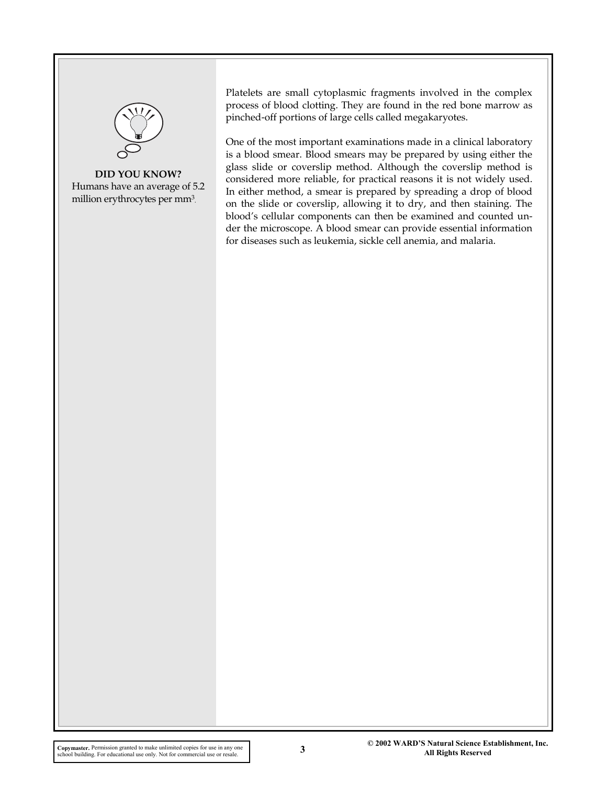

**DID YOU KNOW?**  Humans have an average of 5.2 million erythrocytes per mm<sup>3</sup>.

Platelets are small cytoplasmic fragments involved in the complex process of blood clotting. They are found in the red bone marrow as pinched-off portions of large cells called megakaryotes.

One of the most important examinations made in a clinical laboratory is a blood smear. Blood smears may be prepared by using either the glass slide or coverslip method. Although the coverslip method is considered more reliable, for practical reasons it is not widely used. In either method, a smear is prepared by spreading a drop of blood on the slide or coverslip, allowing it to dry, and then staining. The blood's cellular components can then be examined and counted under the microscope. A blood smear can provide essential information for diseases such as leukemia, sickle cell anemia, and malaria.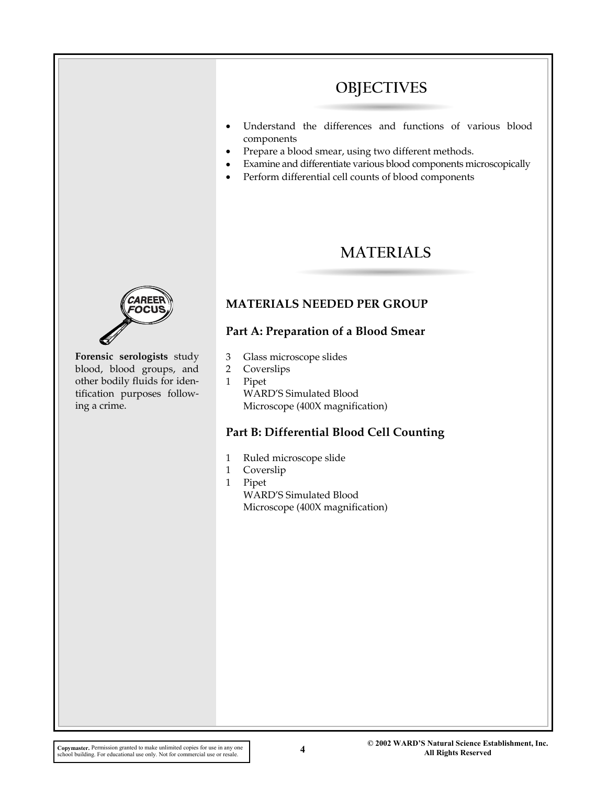# **OBJECTIVES**

- Understand the differences and functions of various blood components
- Prepare a blood smear, using two different methods.
- Examine and differentiate various blood components microscopically
- Perform differential cell counts of blood components

# **MATERIALS**



**Forensic serologists** study blood, blood groups, and other bodily fluids for identification purposes following a crime.

## **MATERIALS NEEDED PER GROUP**

#### **Part A: Preparation of a Blood Smear**

- 3 Glass microscope slides
- 2 Coverslips
- 1 Pipet WARD'S Simulated Blood Microscope (400X magnification)

### **Part B: Differential Blood Cell Counting**

- 1 Ruled microscope slide
- 1 Coverslip
- 1 Pipet WARD'S Simulated Blood Microscope (400X magnification)

**All Rights Reserved Copymaster.** Permission granted to make unlimited copies for use in any one school building. For educational use only. Not for commercial use or resale.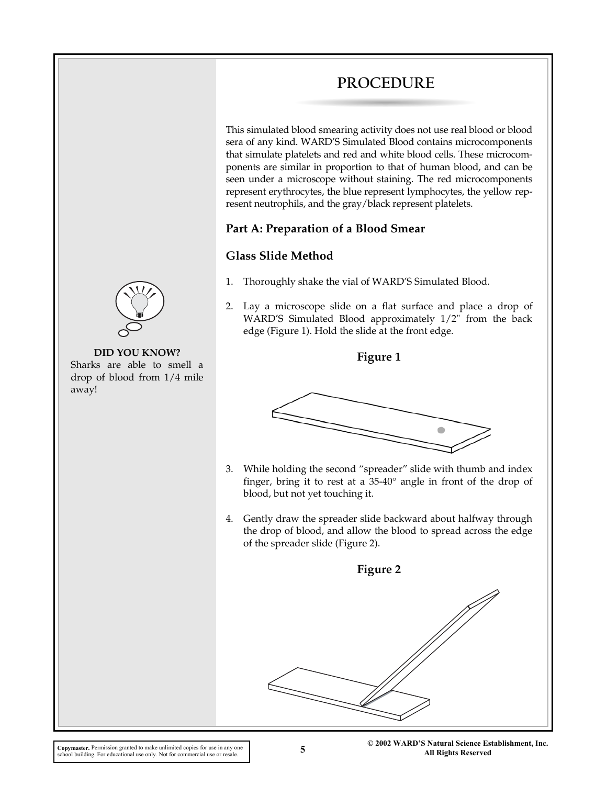# **PROCEDURE**

This simulated blood smearing activity does not use real blood or blood sera of any kind. WARD'S Simulated Blood contains microcomponents that simulate platelets and red and white blood cells. These microcomponents are similar in proportion to that of human blood, and can be seen under a microscope without staining. The red microcomponents represent erythrocytes, the blue represent lymphocytes, the yellow represent neutrophils, and the gray/black represent platelets.

### **Part A: Preparation of a Blood Smear**

### **Glass Slide Method**

- 1. Thoroughly shake the vial of WARD'S Simulated Blood.
- 2. Lay a microscope slide on a flat surface and place a drop of WARD'S Simulated Blood approximately 1/2" from the back edge (Figure 1). Hold the slide at the front edge.





- 3. While holding the second "spreader" slide with thumb and index finger, bring it to rest at a 35-40° angle in front of the drop of blood, but not yet touching it.
- 4. Gently draw the spreader slide backward about halfway through the drop of blood, and allow the blood to spread across the edge of the spreader slide (Figure 2).





#### **DID YOU KNOW?**  Sharks are able to smell a

drop of blood from 1/4 mile away!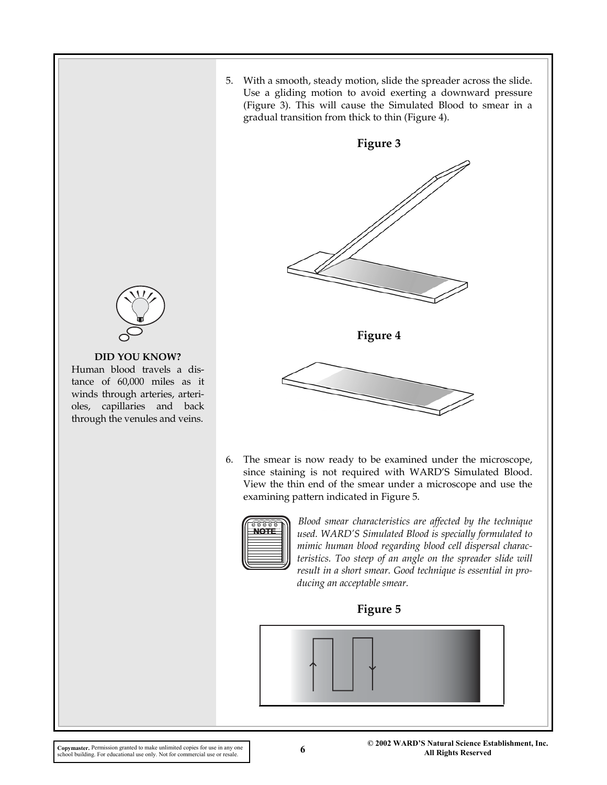5. With a smooth, steady motion, slide the spreader across the slide. Use a gliding motion to avoid exerting a downward pressure (Figure 3). This will cause the Simulated Blood to smear in a gradual transition from thick to thin (Figure 4).



6. The smear is now ready to be examined under the microscope, since staining is not required with WARD'S Simulated Blood. View the thin end of the smear under a microscope and use the examining pattern indicated in Figure 5.



*Blood smear characteristics are affected by the technique used. WARD'S Simulated Blood is specially formulated to mimic human blood regarding blood cell dispersal characteristics. Too steep of an angle on the spreader slide will result in a short smear. Good technique is essential in producing an acceptable smear.*







#### **DID YOU KNOW?**

Human blood travels a distance of 60,000 miles as it winds through arteries, arterioles, capillaries and back through the venules and veins.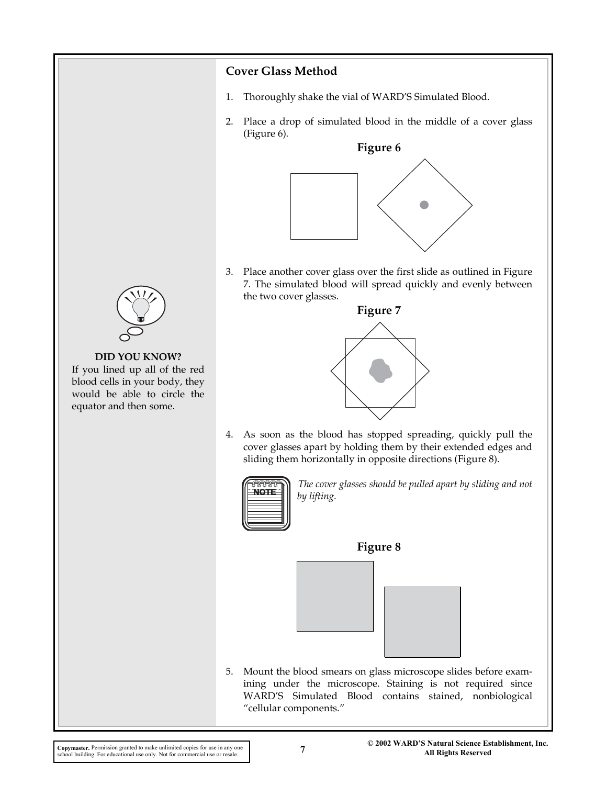### **Cover Glass Method**

- 1. Thoroughly shake the vial of WARD'S Simulated Blood.
- 2. Place a drop of simulated blood in the middle of a cover glass (Figure 6).



3. Place another cover glass over the first slide as outlined in Figure 7. The simulated blood will spread quickly and evenly between the two cover glasses.



#### **DID YOU KNOW?**

If you lined up all of the red blood cells in your body, they would be able to circle the equator and then some.



4. As soon as the blood has stopped spreading, quickly pull the cover glasses apart by holding them by their extended edges and sliding them horizontally in opposite directions (Figure 8).



*The cover glasses should be pulled apart by sliding and not by lifting.* 

#### **Figure 8**



5. Mount the blood smears on glass microscope slides before examining under the microscope. Staining is not required since WARD'S Simulated Blood contains stained, nonbiological "cellular components."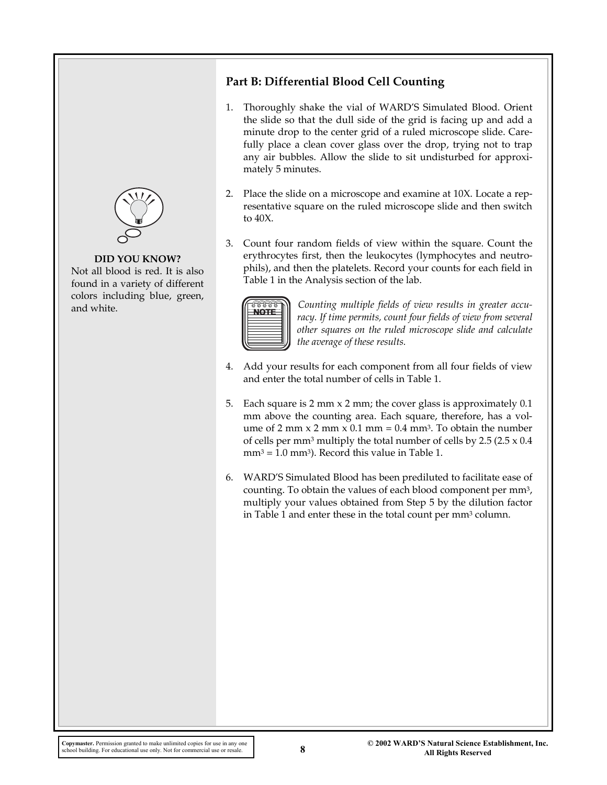

#### **DID YOU KNOW?**

Not all blood is red. It is also found in a variety of different colors including blue, green, and white.

# **Part B: Differential Blood Cell Counting**

- 1. Thoroughly shake the vial of WARD'S Simulated Blood. Orient the slide so that the dull side of the grid is facing up and add a minute drop to the center grid of a ruled microscope slide. Carefully place a clean cover glass over the drop, trying not to trap any air bubbles. Allow the slide to sit undisturbed for approximately 5 minutes.
- 2. Place the slide on a microscope and examine at 10X. Locate a representative square on the ruled microscope slide and then switch to 40X.
- 3. Count four random fields of view within the square. Count the erythrocytes first, then the leukocytes (lymphocytes and neutrophils), and then the platelets. Record your counts for each field in Table 1 in the Analysis section of the lab.



*Counting multiple fields of view results in greater accuracy. If time permits, count four fields of view from several other squares on the ruled microscope slide and calculate the average of these results.* 

- 4. Add your results for each component from all four fields of view and enter the total number of cells in Table 1.
- 5. Each square is 2 mm x 2 mm; the cover glass is approximately 0.1 mm above the counting area. Each square, therefore, has a volume of 2 mm  $x$  2 mm  $x$  0.1 mm = 0.4 mm<sup>3</sup>. To obtain the number of cells per mm<sup>3</sup> multiply the total number of cells by  $2.5$  ( $2.5 \times 0.4$ )  $mm<sup>3</sup> = 1.0 mm<sup>3</sup>$ ). Record this value in Table 1.
- 6. WARD'S Simulated Blood has been prediluted to facilitate ease of counting. To obtain the values of each blood component per mm3, multiply your values obtained from Step 5 by the dilution factor in Table 1 and enter these in the total count per mm3 column.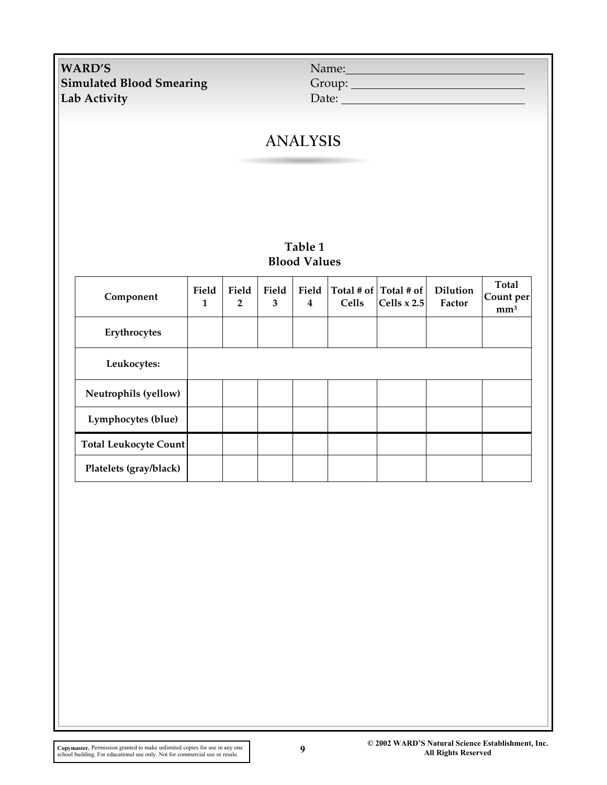**WARD'S Simulated Blood Smearing Lab Activity** Date:

| Name:  |  |
|--------|--|
| Group: |  |

# **ANALYSIS**

### **Table 1 Blood Values**

| Component                    | Field<br>1 | Field<br>$\overline{2}$ | Field<br>3 | Field<br>$\overline{\mathbf{4}}$ | Cells | Total # of $ $ Total # of $ $<br>Cells $x 2.5$ | <b>Dilution</b><br>Factor | Total<br>Count per<br>mm <sup>3</sup> |
|------------------------------|------------|-------------------------|------------|----------------------------------|-------|------------------------------------------------|---------------------------|---------------------------------------|
| Erythrocytes                 |            |                         |            |                                  |       |                                                |                           |                                       |
| Leukocytes:                  |            |                         |            |                                  |       |                                                |                           |                                       |
| Neutrophils (yellow)         |            |                         |            |                                  |       |                                                |                           |                                       |
| Lymphocytes (blue)           |            |                         |            |                                  |       |                                                |                           |                                       |
| <b>Total Leukocyte Count</b> |            |                         |            |                                  |       |                                                |                           |                                       |
| Platelets (gray/black)       |            |                         |            |                                  |       |                                                |                           |                                       |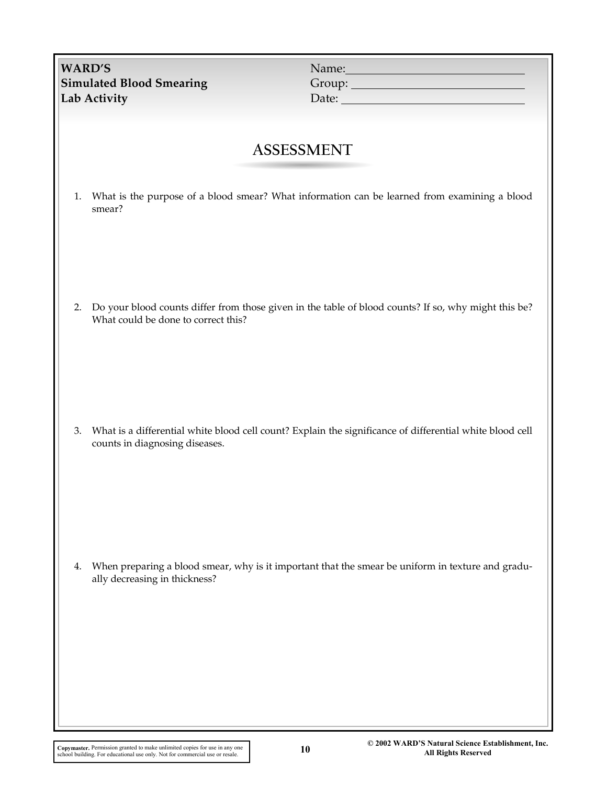| <b>WARD'S</b><br><b>Simulated Blood Smearing</b><br>Lab Activity | Name:<br>Date: <u>Date:</u>                                                                              |
|------------------------------------------------------------------|----------------------------------------------------------------------------------------------------------|
|                                                                  | <b>ASSESSMENT</b>                                                                                        |
| 1.<br>smear?                                                     | What is the purpose of a blood smear? What information can be learned from examining a blood             |
| 2.<br>What could be done to correct this?                        | Do your blood counts differ from those given in the table of blood counts? If so, why might this be?     |
| 3.<br>counts in diagnosing diseases.                             | What is a differential white blood cell count? Explain the significance of differential white blood cell |
| 4.<br>ally decreasing in thickness?                              | When preparing a blood smear, why is it important that the smear be uniform in texture and gradu-        |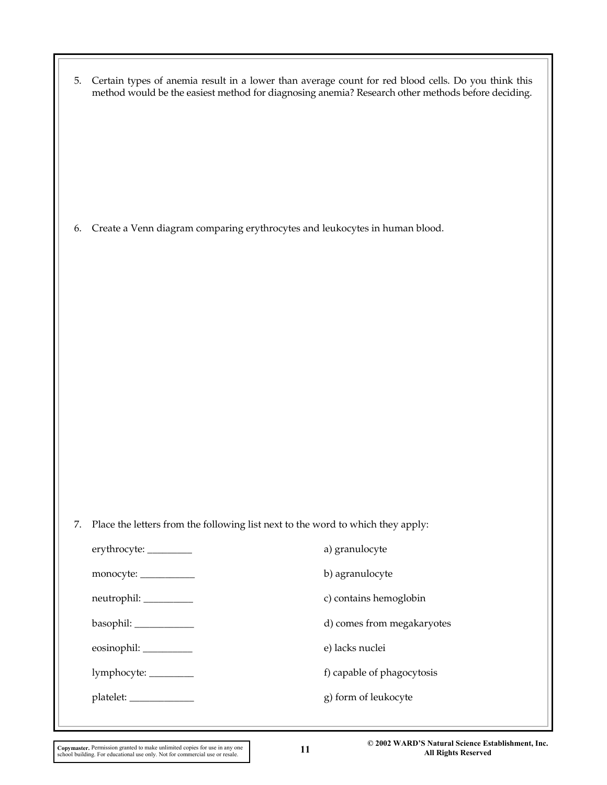| 5.                        | Certain types of anemia result in a lower than average count for red blood cells. Do you think this<br>method would be the easiest method for diagnosing anemia? Research other methods before deciding. |
|---------------------------|----------------------------------------------------------------------------------------------------------------------------------------------------------------------------------------------------------|
| 6.                        | Create a Venn diagram comparing erythrocytes and leukocytes in human blood.                                                                                                                              |
|                           |                                                                                                                                                                                                          |
| 7.                        | Place the letters from the following list next to the word to which they apply:                                                                                                                          |
| erythrocyte: ________     | a) granulocyte                                                                                                                                                                                           |
| monocyte: ___________     | b) agranulocyte                                                                                                                                                                                          |
| neutrophil: _________     | c) contains hemoglobin                                                                                                                                                                                   |
| basophil: ____________    | d) comes from megakaryotes                                                                                                                                                                               |
| eosinophil: _________     | e) lacks nuclei                                                                                                                                                                                          |
| lymphocyte: ________      | f) capable of phagocytosis                                                                                                                                                                               |
| platelet: _______________ | g) form of leukocyte                                                                                                                                                                                     |
|                           |                                                                                                                                                                                                          |